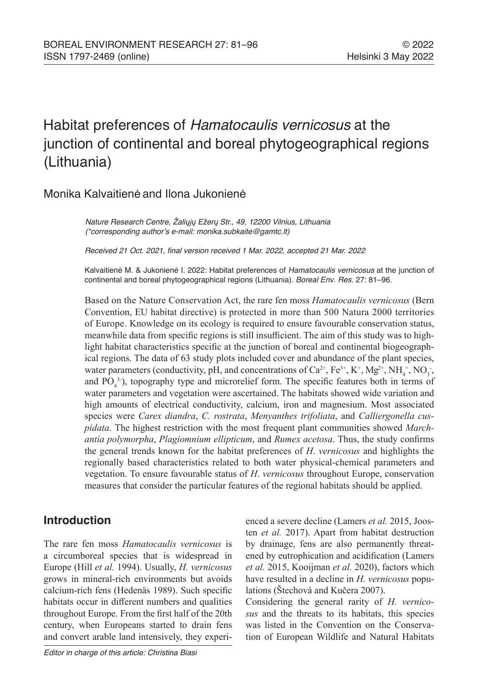# Habitat preferences of *Hamatocaulis vernicosus* at the junction of continental and boreal phytogeographical regions (Lithuania)

# Monika Kalvaitienė and Ilona Jukonienė

Nature Research Centre, Žaliųjų Ežerų Str., 49, 12200 Vilnius, Lithuania (\*corresponding author's e-mail: monika.subkaite@gamtc.lt)

Received 21 Oct. 2021, final version received 1 Mar. 2022, accepted 21 Mar. 2022

Kalvaitienė M. & Jukonienė I. 2022: Habitat preferences of *Hamatocaulis vernicosus* at the junction of continental and boreal phytogeographical regions (Lithuania). Boreal Env. Res. 27: 81–96.

Based on the Nature Conservation Act, the rare fen moss *Hamatocaulis vernicosus* (Bern Convention, EU habitat directive) is protected in more than 500 Natura 2000 territories of Europe. Knowledge on its ecology is required to ensure favourable conservation status, meanwhile data from specific regions is still insufficient. The aim of this study was to highlight habitat characteristics specific at the junction of boreal and continental biogeographical regions. The data of 63 study plots included cover and abundance of the plant species, water parameters (conductivity, pH, and concentrations of  $Ca^{2+}$ ,  $Fe^{3+}$ ,  $K^+$ ,  $Mg^{2+}$ ,  $NH_4^+$ ,  $NO_3^-$ , and  $PO<sub>4</sub><sup>3</sup>$ ), topography type and microrelief form. The specific features both in terms of water parameters and vegetation were ascertained. The habitats showed wide variation and high amounts of electrical conductivity, calcium, iron and magnesium. Most associated species were *Carex diandra*, *C. rostrata*, *Menyanthes trifoliata*, and *Calliergonella cuspidata*. The highest restriction with the most frequent plant communities showed *Marchantia polymorpha*, *Plagiomnium ellipticum*, and *Rumex acetosa*. Thus, the study confirms the general trends known for the habitat preferences of *H*. *vernicosus* and highlights the regionally based characteristics related to both water physical-chemical parameters and vegetation. To ensure favourable status of *H*. *vernicosus* throughout Europe, conservation measures that consider the particular features of the regional habitats should be applied.

## **Introduction**

The rare fen moss *Hamatocaulis vernicosus* is a circumboreal species that is widespread in Europe (Hill *et al.* 1994). Usually, *H. vernicosus* grows in mineral-rich environments but avoids calcium-rich fens (Hedenäs 1989). Such specific habitats occur in different numbers and qualities throughout Europe. From the first half of the 20th century, when Europeans started to drain fens and convert arable land intensively, they experi-

*Editor in charge of this article: Christina Biasi*

enced a severe decline (Lamers *et al.* 2015, Joosten *et al.* 2017). Apart from habitat destruction by drainage, fens are also permanently threatened by eutrophication and acidification (Lamers *et al.* 2015, Kooijman *et al.* 2020), factors which have resulted in a decline in *H. vernicosus* populations (Štechová and Kučera 2007).

Considering the general rarity of *H. vernicosus* and the threats to its habitats, this species was listed in the Convention on the Conservation of European Wildlife and Natural Habitats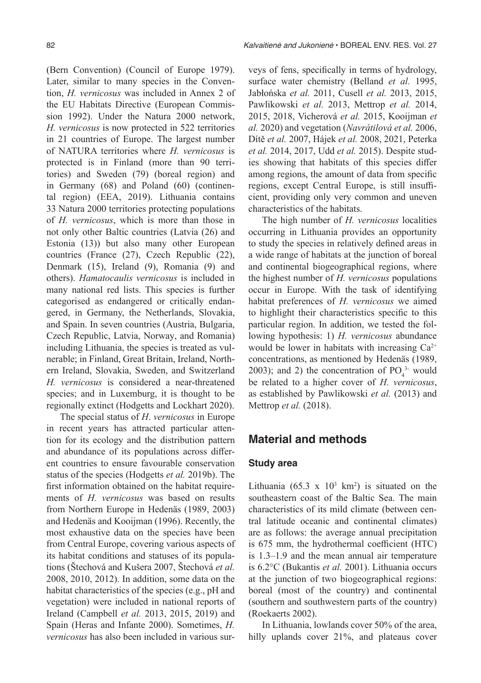(Bern Convention) (Council of Europe 1979). Later, similar to many species in the Convention, *H. vernicosus* was included in Annex 2 of the EU Habitats Directive (European Commission 1992). Under the Natura 2000 network, *H. vernicosus* is now protected in 522 territories in 21 countries of Europe. The largest number of NATURA territories where *H. vernicosus* is protected is in Finland (more than 90 territories) and Sweden (79) (boreal region) and in Germany (68) and Poland (60) (continental region) (EEA, 2019). Lithuania contains 33 Natura 2000 territories protecting populations of *H. vernicosus*, which is more than those in not only other Baltic countries (Latvia (26) and Estonia (13)) but also many other European countries (France (27), Czech Republic (22), Denmark (15), Ireland (9), Romania (9) and others). *Hamatocaulis vernicosus* is included in many national red lists. This species is further categorised as endangered or critically endangered, in Germany, the Netherlands, Slovakia, and Spain. In seven countries (Austria, Bulgaria, Czech Republic, Latvia, Norway, and Romania) including Lithuania, the species is treated as vulnerable; in Finland, Great Britain, Ireland, Northern Ireland, Slovakia, Sweden, and Switzerland *H. vernicosus* is considered a near-threatened species; and in Luxemburg, it is thought to be regionally extinct (Hodgetts and Lockhart 2020).

The special status of *H*. *vernicosus* in Europe in recent years has attracted particular attention for its ecology and the distribution pattern and abundance of its populations across different countries to ensure favourable conservation status of the species (Hodgetts *et al.* 2019b). The first information obtained on the habitat requirements of *H. vernicosus* was based on results from Northern Europe in Hedenäs (1989, 2003) and Hedenäs and Kooijman (1996). Recently, the most exhaustive data on the species have been from Central Europe, covering various aspects of its habitat conditions and statuses of its populations (Štechová and Kušera 2007, Štechová *et al.*  2008, 2010, 2012). In addition, some data on the habitat characteristics of the species (e.g., pH and vegetation) were included in national reports of Ireland (Campbell *et al.* 2013, 2015, 2019) and Spain (Heras and Infante 2000). Sometimes, *H. vernicosus* has also been included in various surveys of fens, specifically in terms of hydrology, surface water chemistry (Belland *et al.* 1995, Jabłońska *et al.* 2011, Cusell *et al.* 2013, 2015, Pawlikowski *et al.* 2013, Mettrop *et al.* 2014, 2015, 2018, Vicherová *et al.* 2015, Kooijman *et al.* 2020) and vegetation (*Navrátilová et al.* 2006, Dítě *et al.* 2007, Hájek *et al.* 2008, 2021, Peterka *et al.* 2014, 2017, Udd *et al.* 2015). Despite studies showing that habitats of this species differ among regions, the amount of data from specific regions, except Central Europe, is still insufficient, providing only very common and uneven characteristics of the habitats.

The high number of *H. vernicosus* localities occurring in Lithuania provides an opportunity to study the species in relatively defined areas in a wide range of habitats at the junction of boreal and continental biogeographical regions, where the highest number of *H. vernicosus* populations occur in Europe. With the task of identifying habitat preferences of *H. vernicosus* we aimed to highlight their characteristics specific to this particular region. In addition, we tested the following hypothesis: 1) *H. vernicosus* abundance would be lower in habitats with increasing  $Ca^{2+}$ concentrations, as mentioned by Hedenäs (1989, 2003); and 2) the concentration of  $PO_4^{3}$  would be related to a higher cover of *H. vernicosus*, as established by Pawlikowski *et al.* (2013) and Mettrop *et al.* (2018).

## **Material and methods**

#### **Study area**

Lithuania  $(65.3 \times 10^3 \text{ km}^2)$  is situated on the southeastern coast of the Baltic Sea. The main characteristics of its mild climate (between central latitude oceanic and continental climates) are as follows: the average annual precipitation is 675 mm, the hydrothermal coefficient (HTC) is 1.3–1.9 and the mean annual air temperature is 6.2°C (Bukantis *et al.* 2001). Lithuania occurs at the junction of two biogeographical regions: boreal (most of the country) and continental (southern and southwestern parts of the country) (Roekaerts 2002).

In Lithuania, lowlands cover 50% of the area, hilly uplands cover 21%, and plateaus cover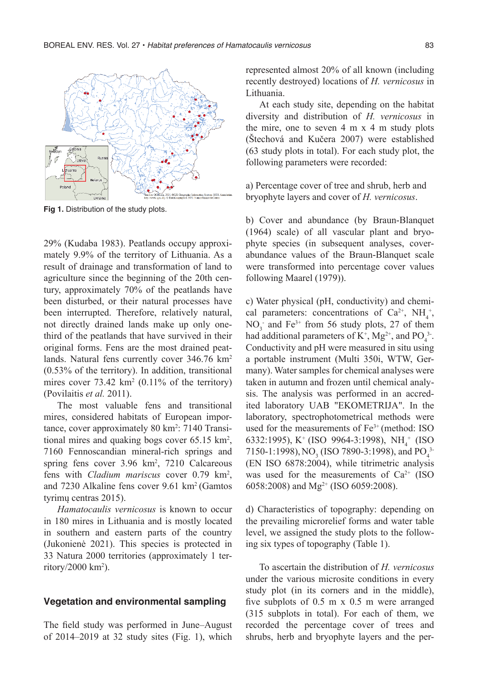

**Fig 1.** Distribution of the study plots.

29% (Kudaba 1983). Peatlands occupy approximately 9.9% of the territory of Lithuania. As a result of drainage and transformation of land to agriculture since the beginning of the 20th century, approximately 70% of the peatlands have been disturbed, or their natural processes have been interrupted. Therefore, relatively natural, not directly drained lands make up only onethird of the peatlands that have survived in their original forms. Fens are the most drained peatlands. Natural fens currently cover 346.76 km<sup>2</sup> (0.53% of the territory). In addition, transitional mires cover  $73.42 \text{ km}^2$  (0.11% of the territory) (Povilaitis *et al.* 2011).

The most valuable fens and transitional mires, considered habitats of European importance, cover approximately 80 km<sup>2</sup>: 7140 Transitional mires and quaking bogs cover 65.15 km<sup>2</sup>, 7160 Fennoscandian mineral-rich springs and spring fens cover 3.96 km<sup>2</sup>, 7210 Calcareous fens with *Cladium mariscus* cover 0.79 km2 , and 7230 Alkaline fens cover 9.61 km2 (Gamtos tyrimų centras 2015).

*Hamatocaulis vernicosus* is known to occur in 180 mires in Lithuania and is mostly located in southern and eastern parts of the country (Jukonienė 2021). This species is protected in 33 Natura 2000 territories (approximately 1 territory/2000 km<sup>2</sup>).

#### **Vegetation and environmental sampling**

The field study was performed in June–August of 2014–2019 at 32 study sites (Fig. 1), which represented almost 20% of all known (including recently destroyed) locations of *H. vernicosus* in Lithuania.

At each study site, depending on the habitat diversity and distribution of *H. vernicosus* in the mire, one to seven 4 m x 4 m study plots (Štechová and Kučera 2007) were established (63 study plots in total). For each study plot, the following parameters were recorded:

a) Percentage cover of tree and shrub, herb and bryophyte layers and cover of *H. vernicosus*.

b) Cover and abundance (by Braun-Blanquet (1964) scale) of all vascular plant and bryophyte species (in subsequent analyses, coverabundance values of the Braun-Blanquet scale were transformed into percentage cover values following Maarel (1979)).

c) Water physical (pH, conductivity) and chemical parameters: concentrations of  $Ca^{2+}$ ,  $NH_4^+$ ,  $NO<sub>3</sub>$  and Fe<sup>3+</sup> from 56 study plots, 27 of them had additional parameters of  $K^+$ ,  $Mg^{2+}$ , and PO<sub>4</sub><sup>3</sup>. Conductivity and pH were measured in situ using a portable instrument (Multi 350i, WTW, Germany). Water samples for chemical analyses were taken in autumn and frozen until chemical analysis. The analysis was performed in an accredited laboratory UAB "EKOMETRIJA". In the laboratory, spectrophotometrical methods were used for the measurements of Fe<sup>3+</sup> (method: ISO 6332:1995), K<sup>+</sup> (ISO 9964-3:1998), NH<sub>4</sub><sup>+</sup> (ISO 7150-1:1998), NO<sub>3</sub> (ISO 7890-3:1998), and PO<sub>4</sub><sup>3</sup> (EN ISO 6878:2004), while titrimetric analysis was used for the measurements of  $Ca^{2+}$  (ISO 6058:2008) and Mg<sup>2+</sup> (ISO 6059:2008).

d) Characteristics of topography: depending on the prevailing microrelief forms and water table level, we assigned the study plots to the following six types of topography (Table 1).

To ascertain the distribution of *H. vernicosus*  under the various microsite conditions in every study plot (in its corners and in the middle), five subplots of 0.5 m x 0.5 m were arranged (315 subplots in total). For each of them, we recorded the percentage cover of trees and shrubs, herb and bryophyte layers and the per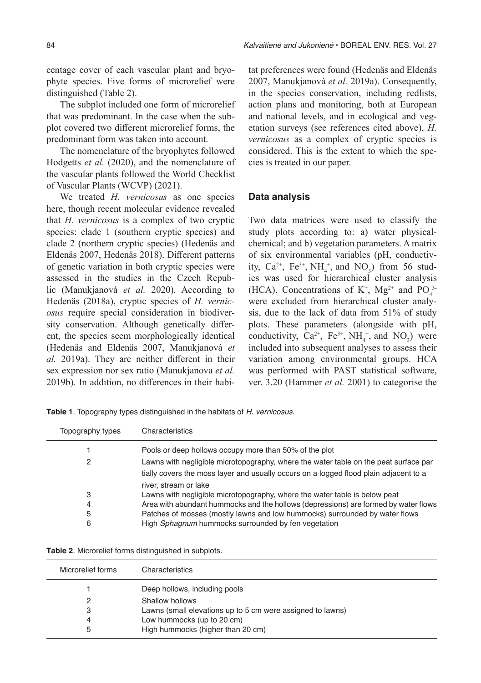centage cover of each vascular plant and bryophyte species. Five forms of microrelief were distinguished (Table 2).

The subplot included one form of microrelief that was predominant. In the case when the subplot covered two different microrelief forms, the predominant form was taken into account.

The nomenclature of the bryophytes followed Hodgetts *et al.* (2020), and the nomenclature of the vascular plants followed the World Checklist of Vascular Plants (WCVP) (2021).

We treated *H. vernicosus* as one species here, though recent molecular evidence revealed that *H. vernicosus* is a complex of two cryptic species: clade 1 (southern cryptic species) and clade 2 (northern cryptic species) (Hedenäs and Eldenäs 2007, Hedenäs 2018). Different patterns of genetic variation in both cryptic species were assessed in the studies in the Czech Republic (Manukjanová *et al.* 2020). According to Hedenäs (2018a), cryptic species of *H. vernicosus* require special consideration in biodiversity conservation. Although genetically different, the species seem morphologically identical (Hedenäs and Eldenäs 2007, Manukjanová *et al.* 2019a). They are neither different in their sex expression nor sex ratio (Manukjanova *et al.* 2019b). In addition, no differences in their habitat preferences were found (Hedenäs and Eldenäs 2007, Manukjanová *et al.* 2019a). Consequently, in the species conservation, including redlists, action plans and monitoring, both at European and national levels, and in ecological and vegetation surveys (see references cited above), *H. vernicosus* as a complex of cryptic species is considered. This is the extent to which the species is treated in our paper.

### **Data analysis**

Two data matrices were used to classify the study plots according to: a) water physicalchemical; and b) vegetation parameters. A matrix of six environmental variables (pH, conductivity,  $Ca^{2+}$ ,  $Fe^{3+}$ ,  $NH_4^+$ , and  $NO_3$ ) from 56 studies was used for hierarchical cluster analysis (HCA). Concentrations of K<sup>+</sup>, Mg<sup>2+</sup> and PO<sub>4</sub><sup>3</sup> were excluded from hierarchical cluster analysis, due to the lack of data from 51% of study plots. These parameters (alongside with pH, conductivity,  $Ca^{2+}$ ,  $Fe^{3+}$ ,  $NH_4^+$ , and  $NO_3$ ) were included into subsequent analyses to assess their variation among environmental groups. HCA was performed with PAST statistical software, ver. 3.20 (Hammer *et al.* 2001) to categorise the

**Table 1**. Topography types distinguished in the habitats of H. vernicosus.

| Topography types | Characteristics                                                                       |
|------------------|---------------------------------------------------------------------------------------|
|                  | Pools or deep hollows occupy more than 50% of the plot                                |
| 2                | Lawns with negligible microtopography, where the water table on the peat surface par  |
|                  | tially covers the moss layer and usually occurs on a logged flood plain adjacent to a |
|                  | river, stream or lake                                                                 |
| 3                | Lawns with negligible microtopography, where the water table is below peat            |
| 4                | Area with abundant hummocks and the hollows (depressions) are formed by water flows   |
| 5                | Patches of mosses (mostly lawns and low hummocks) surrounded by water flows           |
| 6                | High Sphagnum hummocks surrounded by fen vegetation                                   |

| Microrelief forms | Characteristics                                            |
|-------------------|------------------------------------------------------------|
|                   | Deep hollows, including pools                              |
| 2                 | Shallow hollows                                            |
| 3                 | Lawns (small elevations up to 5 cm were assigned to lawns) |
| 4                 | Low hummocks (up to 20 cm)                                 |
| 5                 | High hummocks (higher than 20 cm)                          |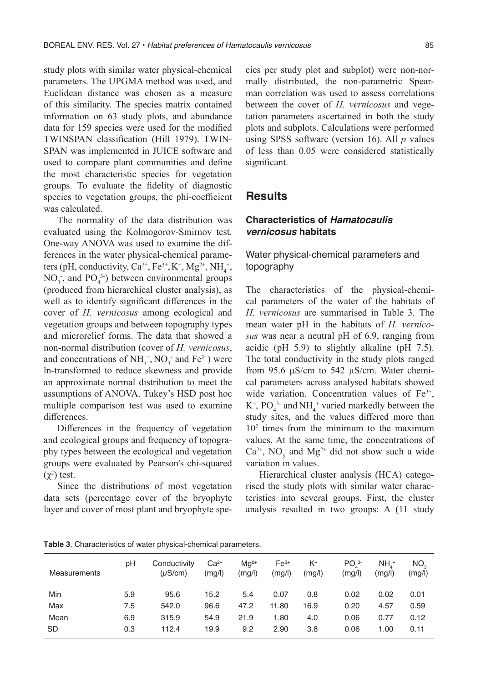study plots with similar water physical-chemical parameters. The UPGMA method was used, and Euclidean distance was chosen as a measure of this similarity. The species matrix contained information on 63 study plots, and abundance data for 159 species were used for the modified TWINSPAN classification (Hill 1979). TWIN-SPAN was implemented in JUICE software and used to compare plant communities and define the most characteristic species for vegetation groups. To evaluate the fidelity of diagnostic species to vegetation groups, the phi-coefficient was calculated.

The normality of the data distribution was evaluated using the Kolmogorov-Smirnov test. One-way ANOVA was used to examine the differences in the water physical-chemical parameters (pH, conductivity,  $Ca^{2+}$ ,  $Fe^{3+}$ ,  $K^+$ ,  $Mg^{2+}$ ,  $NH_4^+$ ,  $NO_3$ , and  $PO_4^{3}$ ) between environmental groups (produced from hierarchical cluster analysis), as well as to identify significant differences in the cover of *H. vernicosus* among ecological and vegetation groups and between topography types and microrelief forms. The data that showed a non-normal distribution (cover of *H. vernicosus*, and concentrations of  $NH_4^+$ , NO<sub>3</sub> and Fe<sup>3+</sup>) were ln-transformed to reduce skewness and provide an approximate normal distribution to meet the assumptions of ANOVA. Tukey's HSD post hoc multiple comparison test was used to examine differences.

Differences in the frequency of vegetation and ecological groups and frequency of topography types between the ecological and vegetation groups were evaluated by Pearson's chi-squared  $(χ<sup>2</sup>)$  test.

Since the distributions of most vegetation data sets (percentage cover of the bryophyte layer and cover of most plant and bryophyte species per study plot and subplot) were non-normally distributed, the non-parametric Spearman correlation was used to assess correlations between the cover of *H. vernicosus* and vegetation parameters ascertained in both the study plots and subplots. Calculations were performed using SPSS software (version 16). All *p* values of less than 0.05 were considered statistically significant.

## **Results**

## **Characteristics of** *Hamatocaulis vernicosus* **habitats**

## Water physical-chemical parameters and topography

The characteristics of the physical-chemical parameters of the water of the habitats of *H. vernicosus* are summarised in Table 3*.* The mean water pH in the habitats of *H. vernicosus* was near a neutral pH of 6.9, ranging from acidic (pH 5.9) to slightly alkaline (pH 7.5). The total conductivity in the study plots ranged from 95.6 µS/cm to 542 µS/cm. Water chemical parameters across analysed habitats showed wide variation. Concentration values of Fe<sup>3+</sup>,  $K^+$ , PO<sub>4</sub><sup>3</sup> and NH<sub>4</sub><sup>+</sup> varied markedly between the study sites, and the values differed more than 102 times from the minimum to the maximum values. At the same time, the concentrations of  $Ca^{2+}$ , NO<sub>3</sub> and Mg<sup>2+</sup> did not show such a wide variation in values.

Hierarchical cluster analysis (HCA) categorised the study plots with similar water characteristics into several groups. First, the cluster analysis resulted in two groups: A (11 study

| <b>Measurements</b> | рH         | Conductivity<br>$(\mu S/cm)$ | $Ca2+$<br>(mg/l) | $Mq^{2+}$<br>(mg/l) | $Fe3+$<br>(mg/l) | K+<br>(mg/l) | PO <sub>1</sub> 3<br>(mg/l) | NH <sub>1</sub><br>(mg/l) | NO <sub>2</sub><br>(mg/l) |
|---------------------|------------|------------------------------|------------------|---------------------|------------------|--------------|-----------------------------|---------------------------|---------------------------|
| Min                 | 5.9        | 95.6                         | 15.2             | 5.4                 | 0.07             | 0.8          | 0.02                        | 0.02                      | 0.01                      |
| Max<br>Mean         | 7.5<br>6.9 | 542.0<br>315.9               | 96.6<br>54.9     | 47.2<br>21.9        | 11.80<br>1.80    | 16.9<br>4.0  | 0.20<br>0.06                | 4.57<br>0.77              | 0.59<br>0.12              |
| <b>SD</b>           | 0.3        | 112.4                        | 19.9             | 9.2                 | 2.90             | 3.8          | 0.06                        | 1.00                      | 0.11                      |

**Table 3**. Characteristics of water physical-chemical parameters.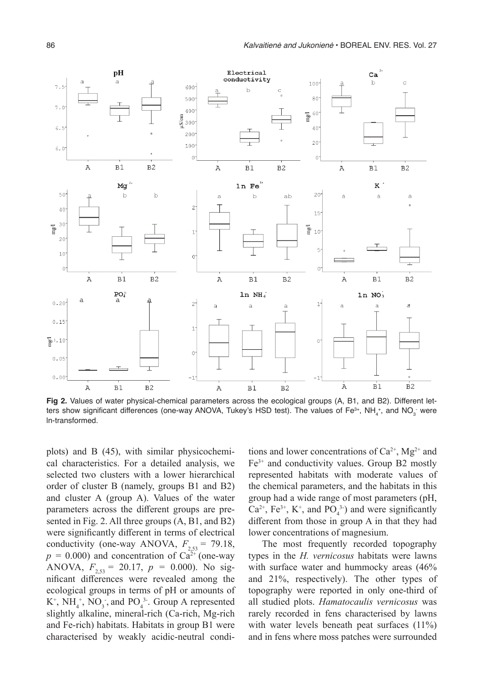

**Fig 2.** Values of water physical-chemical parameters across the ecological groups (A, B1, and B2). Different letters show significant differences (one-way ANOVA, Tukey's HSD test). The values of Fe $^{3+}$ , NH $_4^{\ast+}$ , and NO $_3^{\circ}$  were ln-transformed.

plots) and B (45), with similar physicochemical characteristics. For a detailed analysis, we selected two clusters with a lower hierarchical order of cluster B (namely, groups B1 and B2) and cluster A (group A). Values of the water parameters across the different groups are presented in Fig. 2. All three groups (A, B1, and B2) were significantly different in terms of electrical conductivity (one-way ANOVA,  $F_{2,53} = 79.18$ ,  $p = 0.000$ ) and concentration of Ca<sup>2+</sup> (one-way ANOVA,  $F_{2,53} = 20.17$ ,  $p = 0.000$ ). No significant differences were revealed among the ecological groups in terms of pH or amounts of  $K^+$ ,  $NH_4^+$ ,  $NO_3^-$ , and  $PO_4^3$ . Group A represented slightly alkaline, mineral-rich (Ca-rich, Mg-rich and Fe-rich) habitats. Habitats in group B1 were characterised by weakly acidic-neutral conditions and lower concentrations of  $Ca^{2+}$ , Mg<sup>2+</sup> and Fe3+ and conductivity values. Group B2 mostly represented habitats with moderate values of the chemical parameters, and the habitats in this group had a wide range of most parameters (pH,  $Ca^{2+}$ ,  $Fe^{3+}$ ,  $K^+$ , and  $PO_4^{3-}$ ) and were significantly different from those in group A in that they had lower concentrations of magnesium.

The most frequently recorded topography types in the *H. vernicosus* habitats were lawns with surface water and hummocky areas (46% and 21%, respectively). The other types of topography were reported in only one-third of all studied plots. *Hamatocaulis vernicosus* was rarely recorded in fens characterised by lawns with water levels beneath peat surfaces (11%) and in fens where moss patches were surrounded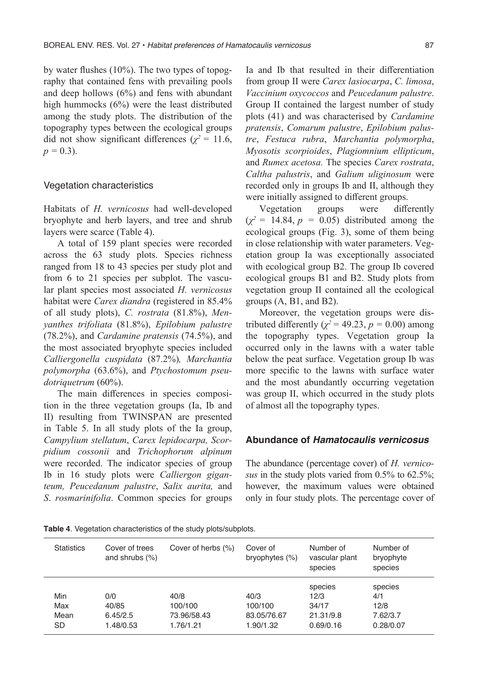by water flushes (10%). The two types of topography that contained fens with prevailing pools and deep hollows (6%) and fens with abundant high hummocks (6%) were the least distributed among the study plots. The distribution of the topography types between the ecological groups did not show significant differences ( $\chi^2$  = 11.6,  $p = 0.3$ ).

#### Vegetation characteristics

Habitats of *H. vernicosus* had well‐developed bryophyte and herb layers, and tree and shrub layers were scarce (Table 4).

A total of 159 plant species were recorded across the 63 study plots. Species richness ranged from 18 to 43 species per study plot and from 6 to 21 species per subplot. The vascular plant species most associated *H. vernicosus* habitat were *Carex diandra* (registered in 85.4% of all study plots), *C. rostrata* (81.8%), *Menyanthes trifoliata* (81.8%), *Epilobium palustre*  (78.2%), and *Cardamine pratensis* (74.5%), and the most associated bryophyte species included *Calliergonella cuspidata* (87.2%)*, Marchantia polymorpha* (63.6%), and *Ptychostomum pseudotriquetrum* (60%).

The main differences in species composition in the three vegetation groups (Ia, Ib and II) resulting from TWINSPAN are presented in Table 5. In all study plots of the Ia group, *Campylium stellatum*, *Carex lepidocarpa, Scorpidium cossonii* and *Trichophorum alpinum*  were recorded. The indicator species of group Ib in 16 study plots were *Calliergon giganteum, Peucedanum palustre*, *Salix aurita,* and *S*. *rosmarinifolia*. Common species for groups Ia and Ib that resulted in their differentiation from group II were *Carex lasiocarpa*, *C. limosa*, *Vaccinium oxycoccos* and *Peucedanum palustre*. Group II contained the largest number of study plots (41) and was characterised by *Cardamine pratensis*, *Comarum palustre*, *Epilobium palustre*, *Festuca rubra*, *Marchantia polymorpha*, *Myosotis scorpioides*, *Plagiomnium ellipticum*, and *Rumex acetosa.* The species *Carex rostrata*, *Caltha palustris*, and *Galium uliginosum* were recorded only in groups Ib and II, although they were initially assigned to different groups.

Vegetation groups were differently  $(\chi^2 = 14.84, p = 0.05)$  distributed among the ecological groups (Fig. 3), some of them being in close relationship with water parameters. Vegetation group Ia was exceptionally associated with ecological group B2. The group Ib covered ecological groups B1 and B2. Study plots from vegetation group II contained all the ecological groups (A, B1, and B2).

Moreover, the vegetation groups were distributed differently ( $\chi^2$  = 49.23,  $p$  = 0.00) among the topography types. Vegetation group Ia occurred only in the lawns with a water table below the peat surface. Vegetation group Ib was more specific to the lawns with surface water and the most abundantly occurring vegetation was group II, which occurred in the study plots of almost all the topography types.

#### **Abundance of** *Hamatocaulis vernicosus*

The abundance (percentage cover) of *H. vernicosus* in the study plots varied from 0.5% to 62.5%; however, the maximum values were obtained only in four study plots. The percentage cover of

**Table 4**. Vegetation characteristics of the study plots/subplots.

| <b>Statistics</b> | Cover of trees<br>and shrubs $(\%)$ | Cover of herbs (%) | Cover of<br>bryophytes (%) | Number of<br>vascular plant<br>species | Number of<br>bryophyte<br>species |
|-------------------|-------------------------------------|--------------------|----------------------------|----------------------------------------|-----------------------------------|
|                   |                                     |                    |                            | species                                | species                           |
| Min               | 0/0                                 | 40/8               | 40/3                       | 12/3                                   | 4/1                               |
| Max               | 40/85                               | 100/100            | 100/100                    | 34/17                                  | 12/8                              |
| Mean              | 6.45/2.5                            | 73.96/58.43        | 83.05/76.67                | 21.31/9.8                              | 7.62/3.7                          |
| <b>SD</b>         | 1.48/0.53                           | 1.76/1.21          | 1.90/1.32                  | 0.69/0.16                              | 0.28/0.07                         |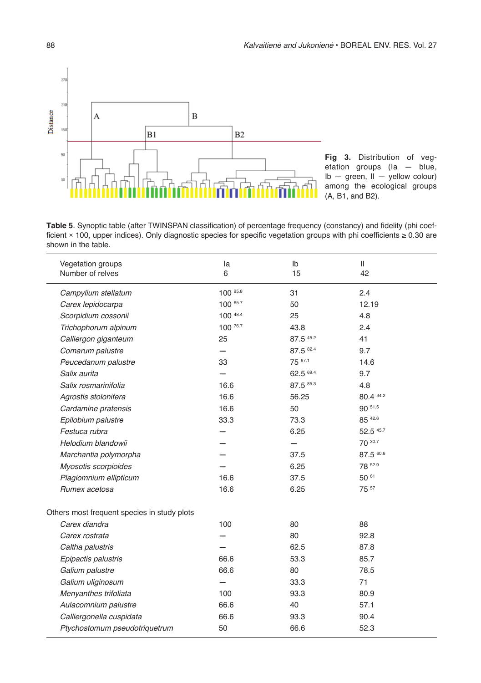

**Fig 3.** Distribution of vegetation groups (Ia — blue,  $Ib - green$ ,  $II -$  yellow colour) among the ecological groups (A, B1, and B2).

**Table 5**. Synoptic table (after TWINSPAN classification) of percentage frequency (constancy) and fidelity (phi coefficient *×* 100, upper indices). Only diagnostic species for specific vegetation groups with phi coefficients ≥ 0.30 are shown in the table.

| Vegetation groups<br>Number of relves       | la<br>6  | Ib<br>15  | Ш<br>42   |  |
|---------------------------------------------|----------|-----------|-----------|--|
| Campylium stellatum                         | 100 95.8 | 31        | 2.4       |  |
| Carex lepidocarpa                           | 100 65.7 | 50        | 12.19     |  |
| Scorpidium cossonii                         | 100 48.4 | 25        | 4.8       |  |
| Trichophorum alpinum                        | 100 76.7 | 43.8      | 2.4       |  |
| Calliergon giganteum                        | 25       | 87.5 45.2 | 41        |  |
| Comarum palustre                            |          | 87.5 82.4 | 9.7       |  |
| Peucedanum palustre                         | 33       | 75 67.1   | 14.6      |  |
| Salix aurita                                |          | 62.5 69.4 | 9.7       |  |
| Salix rosmarinifolia                        | 16.6     | 87.5 85.3 | 4.8       |  |
| Agrostis stolonifera                        | 16.6     | 56.25     | 80.4 34.2 |  |
| Cardamine pratensis                         | 16.6     | 50        | 90 51.5   |  |
| Epilobium palustre                          | 33.3     | 73.3      | 85 42.6   |  |
| Festuca rubra                               |          | 6.25      | 52.5 45.7 |  |
| Helodium blandowii                          |          |           | 70 30.7   |  |
| Marchantia polymorpha                       |          | 37.5      | 87.5 60.6 |  |
| Myosotis scorpioides                        |          | 6.25      | 78 52.9   |  |
| Plagiomnium ellipticum                      | 16.6     | 37.5      | 50 61     |  |
| Rumex acetosa                               | 16.6     | 6.25      | 75 57     |  |
| Others most frequent species in study plots |          |           |           |  |
| Carex diandra                               | 100      | 80        | 88        |  |
| Carex rostrata                              |          | 80        | 92.8      |  |
| Caltha palustris                            |          | 62.5      | 87.8      |  |
| Epipactis palustris                         | 66.6     | 53.3      | 85.7      |  |
| Galium palustre                             | 66.6     | 80        | 78.5      |  |
| Galium uliginosum                           |          | 33.3      | 71        |  |
| Menyanthes trifoliata                       | 100      | 93.3      | 80.9      |  |
| Aulacomnium palustre                        | 66.6     | 40        | 57.1      |  |
| Calliergonella cuspidata                    | 66.6     | 93.3      | 90.4      |  |
| Ptychostomum pseudotriquetrum               | 50       | 66.6      | 52.3      |  |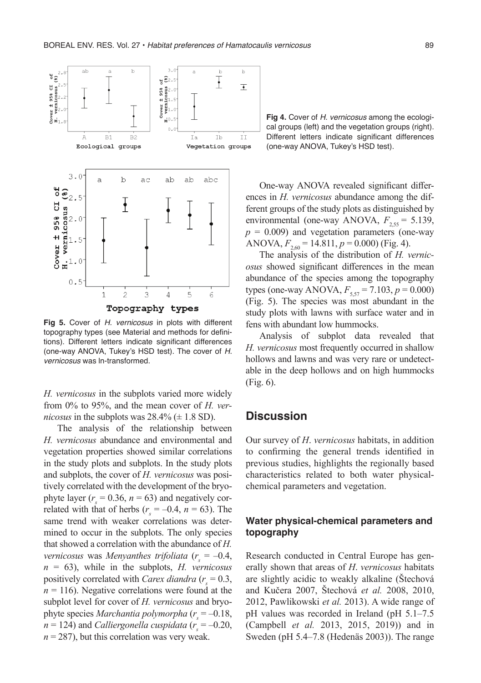

Fig 5. Cover of H. vernicosus in plots with different topography types (see Material and methods for definitions). Different letters indicate significant differences (one-way ANOVA, Tukey's HSD test). The cover of H. *vernicosus* was ln-transformed.

*H. vernicosus* in the subplots varied more widely from 0% to 95%, and the mean cover of *H. vernicosus* in the subplots was  $28.4\%$  ( $\pm$  1.8 SD).

The analysis of the relationship between *H. vernicosus* abundance and environmental and vegetation properties showed similar correlations in the study plots and subplots. In the study plots and subplots, the cover of *H. vernicosus* was positively correlated with the development of the bryophyte layer ( $r_s = 0.36$ ,  $n = 63$ ) and negatively correlated with that of herbs  $(r<sub>s</sub> = -0.4, n = 63)$ . The same trend with weaker correlations was determined to occur in the subplots. The only species that showed a correlation with the abundance of *H. vernicosus* was *Menyanthes trifoliata* ( $r_s = -0.4$ , *n* = 63), while in the subplots, *H. vernicosus* positively correlated with *Carex diandra*  $(r_s = 0.3,$  $n = 116$ ). Negative correlations were found at the subplot level for cover of *H. vernicosus* and bryophyte species *Marchantia polymorpha* ( $r_s = -0.18$ ,  $n = 124$ ) and *Calliergonella cuspidata* ( $r_s = -0.20$ ,  $n = 287$ , but this correlation was very weak.

**Fig 4.** Cover of H. vernicosus among the ecological groups (left) and the vegetation groups (right). Different letters indicate significant differences (one-way ANOVA, Tukey's HSD test).

One-way ANOVA revealed significant differences in *H. vernicosus* abundance among the different groups of the study plots as distinguished by environmental (one-way ANOVA,  $F_{2,55} = 5.139$ ,  $p = 0.009$ ) and vegetation parameters (one-way ANOVA,  $F_{2,60} = 14.811, p = 0.000$  (Fig. 4).

The analysis of the distribution of *H. vernicosus* showed significant differences in the mean abundance of the species among the topography types (one-way ANOVA,  $F_{5,57} = 7.103$ ,  $p = 0.000$ ) (Fig. 5). The species was most abundant in the study plots with lawns with surface water and in fens with abundant low hummocks.

Analysis of subplot data revealed that *H. vernicosus* most frequently occurred in shallow hollows and lawns and was very rare or undetectable in the deep hollows and on high hummocks (Fig. 6).

## **Discussion**

Our survey of *H*. *vernicosus* habitats, in addition to confirming the general trends identified in previous studies, highlights the regionally based characteristics related to both water physicalchemical parameters and vegetation.

## **Water physical-chemical parameters and topography**

Research conducted in Central Europe has generally shown that areas of *H*. *vernicosus* habitats are slightly acidic to weakly alkaline (Štechová and Kučera 2007, Štechová *et al.* 2008, 2010, 2012, Pawlikowski *et al.* 2013). A wide range of pH values was recorded in Ireland (pH 5.1–7.5 (Campbell *et al.* 2013, 2015, 2019)) and in Sweden (pH 5.4–7.8 (Hedenäs 2003)). The range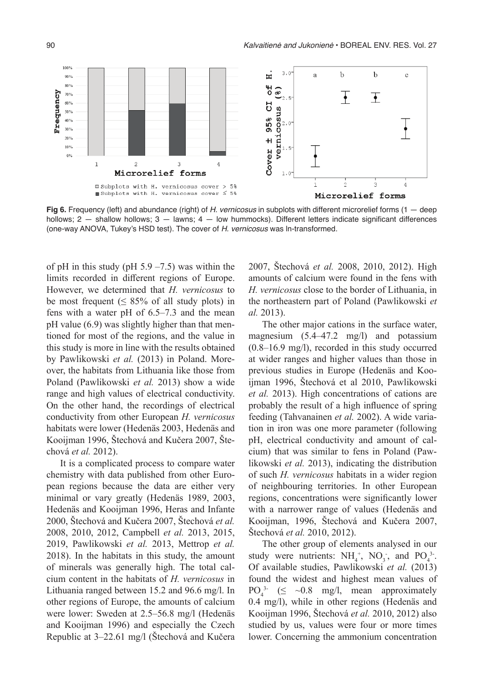

Fig 6. Frequency (left) and abundance (right) of H. vernicosus in subplots with different microrelief forms (1 - deep hollows; 2 - shallow hollows; 3 - lawns; 4 - low hummocks). Different letters indicate significant differences (one-way ANOVA, Tukey's HSD test). The cover of H. vernicosus was ln-transformed.

of pH in this study (pH  $5.9 - 7.5$ ) was within the limits recorded in different regions of Europe. However, we determined that *H. vernicosus* to be most frequent ( $\leq 85\%$  of all study plots) in fens with a water pH of 6.5–7.3 and the mean pH value (6.9) was slightly higher than that mentioned for most of the regions, and the value in this study is more in line with the results obtained by Pawlikowski *et al.* (2013) in Poland. Moreover, the habitats from Lithuania like those from Poland (Pawlikowski *et al.* 2013) show a wide range and high values of electrical conductivity. On the other hand, the recordings of electrical conductivity from other European *H. vernicosus*  habitats were lower (Hedenäs 2003, Hedenäs and Kooijman 1996, Štechová and Kučera 2007, Štechová *et al.* 2012).

It is a complicated process to compare water chemistry with data published from other European regions because the data are either very minimal or vary greatly (Hedenäs 1989, 2003, Hedenäs and Kooijman 1996, Heras and Infante 2000, Štechová and Kučera 2007, Štechová *et al.* 2008, 2010, 2012, Campbell *et al.* 2013, 2015, 2019, Pawlikowski *et al.* 2013, Mettrop *et al.* 2018). In the habitats in this study, the amount of minerals was generally high. The total calcium content in the habitats of *H. vernicosus* in Lithuania ranged between 15.2 and 96.6 mg/l. In other regions of Europe, the amounts of calcium were lower: Sweden at 2.5–56.8 mg/l (Hedenäs and Kooijman 1996) and especially the Czech Republic at 3–22.61 mg/l (Štechová and Kučera

2007, Štechová *et al.* 2008, 2010, 2012). High amounts of calcium were found in the fens with *H. vernicosus* close to the border of Lithuania, in the northeastern part of Poland (Pawlikowski *et al.* 2013).

The other major cations in the surface water, magnesium (5.4–47.2 mg/l) and potassium (0.8–16.9 mg/l), recorded in this study occurred at wider ranges and higher values than those in previous studies in Europe (Hedenäs and Kooijman 1996, Štechová et al 2010, Pawlikowski *et al.* 2013). High concentrations of cations are probably the result of a high influence of spring feeding (Tahvanainen *et al.* 2002). A wide variation in iron was one more parameter (following pH, electrical conductivity and amount of calcium) that was similar to fens in Poland (Pawlikowski *et al.* 2013), indicating the distribution of such *H. vernicosus* habitats in a wider region of neighbouring territories. In other European regions, concentrations were significantly lower with a narrower range of values (Hedenäs and Kooijman, 1996, Štechová and Kučera 2007, Štechová *et al.* 2010, 2012).

The other group of elements analysed in our study were nutrients:  $NH_4^+$ ,  $NO_3^-$ , and  $PO_4^3$ . Of available studies, Pawlikowski *et al.* (2013) found the widest and highest mean values of  $PO_4^{3-} \leq -0.8$  mg/l, mean approximately 0.4 mg/l), while in other regions (Hedenäs and Kooijman 1996, Štechová *et al.* 2010, 2012) also studied by us, values were four or more times lower. Concerning the ammonium concentration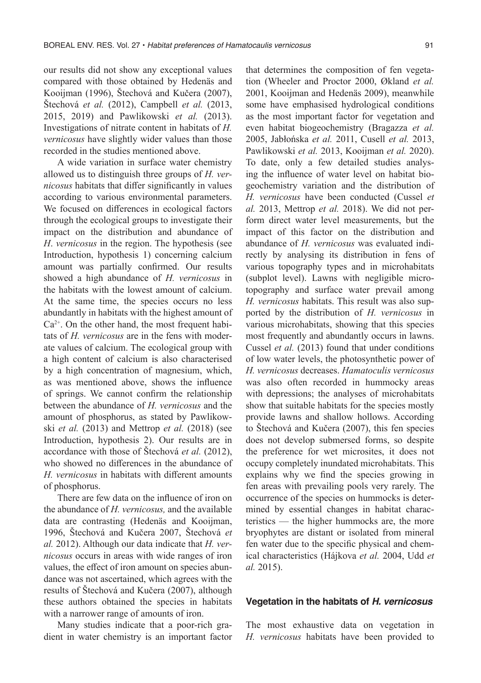our results did not show any exceptional values compared with those obtained by Hedenäs and Kooijman (1996), Štechová and Kučera (2007), Štechová *et al.* (2012), Campbell *et al.* (2013, 2015, 2019) and Pawlikowski *et al.* (2013). Investigations of nitrate content in habitats of *H. vernicosus* have slightly wider values than those recorded in the studies mentioned above.

A wide variation in surface water chemistry allowed us to distinguish three groups of *H. vernicosus* habitats that differ significantly in values according to various environmental parameters. We focused on differences in ecological factors through the ecological groups to investigate their impact on the distribution and abundance of *H*. *vernicosus* in the region. The hypothesis (see Introduction, hypothesis 1) concerning calcium amount was partially confirmed. Our results showed a high abundance of *H. vernicosus* in the habitats with the lowest amount of calcium. At the same time, the species occurs no less abundantly in habitats with the highest amount of  $Ca<sup>2+</sup>$ . On the other hand, the most frequent habitats of *H. vernicosus* are in the fens with moderate values of calcium. The ecological group with a high content of calcium is also characterised by a high concentration of magnesium, which, as was mentioned above, shows the influence of springs. We cannot confirm the relationship between the abundance of *H. vernicosus* and the amount of phosphorus, as stated by Pawlikowski *et al.* (2013) and Mettrop *et al.* (2018) (see Introduction, hypothesis 2). Our results are in accordance with those of Štechová *et al.* (2012), who showed no differences in the abundance of *H. vernicosus* in habitats with different amounts of phosphorus.

There are few data on the influence of iron on the abundance of *H. vernicosus,* and the available data are contrasting (Hedenäs and Kooijman, 1996, Štechová and Kučera 2007, Štechová *et al.* 2012). Although our data indicate that *H. vernicosus* occurs in areas with wide ranges of iron values, the effect of iron amount on species abundance was not ascertained, which agrees with the results of Štechová and Kučera (2007), although these authors obtained the species in habitats with a narrower range of amounts of iron.

Many studies indicate that a poor-rich gradient in water chemistry is an important factor that determines the composition of fen vegetation (Wheeler and Proctor 2000, Økland *et al.* 2001, Kooijman and Hedenäs 2009), meanwhile some have emphasised hydrological conditions as the most important factor for vegetation and even habitat biogeochemistry (Bragazza *et al.* 2005, Jabłońska *et al.* 2011, Cusell *et al.* 2013, Pawlikowski *et al.* 2013, Kooijman *et al.* 2020). To date, only a few detailed studies analysing the influence of water level on habitat biogeochemistry variation and the distribution of *H. vernicosus* have been conducted (Cussel *et al.* 2013, Mettrop *et al.* 2018). We did not perform direct water level measurements, but the impact of this factor on the distribution and abundance of *H. vernicosus* was evaluated indirectly by analysing its distribution in fens of various topography types and in microhabitats (subplot level). Lawns with negligible microtopography and surface water prevail among *H. vernicosus* habitats. This result was also supported by the distribution of *H. vernicosus* in various microhabitats, showing that this species most frequently and abundantly occurs in lawns. Cussel *et al.* (2013) found that under conditions of low water levels, the photosynthetic power of *H. vernicosus* decreases. *Hamatoculis vernicosus* was also often recorded in hummocky areas with depressions; the analyses of microhabitats show that suitable habitats for the species mostly provide lawns and shallow hollows. According to Štechová and Kučera (2007), this fen species does not develop submersed forms, so despite the preference for wet microsites, it does not occupy completely inundated microhabitats. This explains why we find the species growing in fen areas with prevailing pools very rarely. The occurrence of the species on hummocks is determined by essential changes in habitat characteristics — the higher hummocks are, the more bryophytes are distant or isolated from mineral fen water due to the specific physical and chemical characteristics (Hájkova *et al.* 2004, Udd *et al.* 2015).

#### **Vegetation in the habitats of** *H. vernicosus*

The most exhaustive data on vegetation in *H. vernicosus* habitats have been provided to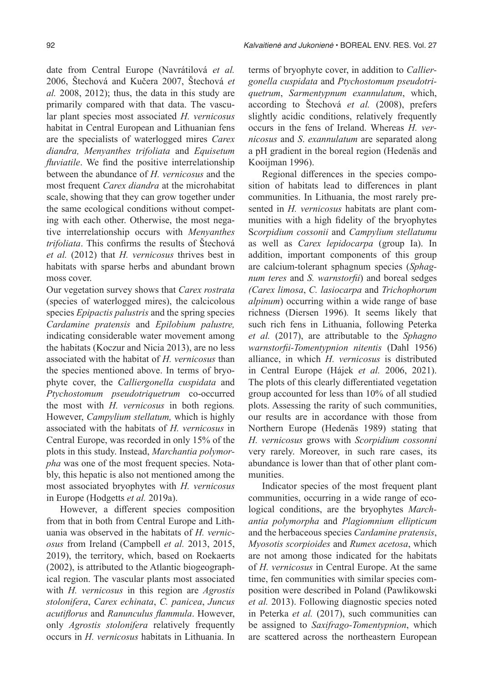date from Central Europe (Navrátilová *et al.* 2006, Štechová and Kučera 2007, Štechová *et al.* 2008, 2012); thus, the data in this study are primarily compared with that data. The vascular plant species most associated *H. vernicosus* habitat in Central European and Lithuanian fens are the specialists of waterlogged mires *Carex diandra, Menyanthes trifoliata* and *Equisetum fluviatile*. We find the positive interrelationship between the abundance of *H. vernicosus* and the most frequent *Carex diandra* at the microhabitat scale, showing that they can grow together under the same ecological conditions without competing with each other. Otherwise, the most negative interrelationship occurs with *Menyanthes trifoliata*. This confirms the results of Štechová *et al.* (2012) that *H. vernicosus* thrives best in habitats with sparse herbs and abundant brown moss cover.

Our vegetation survey shows that *Carex rostrata*  (species of waterlogged mires), the calcicolous species *Epipactis palustris* and the spring species *Cardamine pratensis* and *Epilobium palustre,*  indicating considerable water movement among the habitats (Koczur and Nicia 2013), are no less associated with the habitat of *H. vernicosus* than the species mentioned above. In terms of bryophyte cover, the *Calliergonella cuspidata* and *Ptychostomum pseudotriquetrum* co-occurred the most with *H. vernicosus* in both regions*.*  However, *Campylium stellatum,* which is highly associated with the habitats of *H. vernicosus* in Central Europe, was recorded in only 15% of the plots in this study. Instead, *Marchantia polymorpha* was one of the most frequent species. Notably, this hepatic is also not mentioned among the most associated bryophytes with *H. vernicosus* in Europe (Hodgetts *et al.* 2019a).

However, a different species composition from that in both from Central Europe and Lithuania was observed in the habitats of *H. vernicosus* from Ireland (Campbell *et al.* 2013, 2015, 2019), the territory, which, based on Roekaerts (2002), is attributed to the Atlantic biogeographical region. The vascular plants most associated with *H. vernicosus* in this region are *Agrostis stolonifera*, *Carex echinata*, *C. panicea*, *Juncus acutiflorus* and *Ranunculus flammula*. However, only *Agrostis stolonifera* relatively frequently occurs in *H. vernicosus* habitats in Lithuania. In terms of bryophyte cover, in addition to *Calliergonella cuspidata* and *Ptychostomum pseudotriquetrum*, *Sarmentypnum exannulatum*, which, according to Štechová *et al.* (2008), prefers slightly acidic conditions, relatively frequently occurs in the fens of Ireland. Whereas *H. vernicosus* and *S*. *exannulatum* are separated along a pH gradient in the boreal region (Hedenäs and Kooijman 1996).

Regional differences in the species composition of habitats lead to differences in plant communities. In Lithuania, the most rarely presented in *H. vernicosus* habitats are plant communities with a high fidelity of the bryophytes S*corpidium cossonii* and *Campylium stellatumu* as well as *Carex lepidocarpa* (group Ia). In addition, important components of this group are calcium-tolerant sphagnum species (*Sphagnum teres* and *S. warnstorfii*) and boreal sedges *(Carex limosa*, *C. lasiocarpa* and *Trichophorum alpinum*) occurring within a wide range of base richness (Diersen 1996)*.* It seems likely that such rich fens in Lithuania, following Peterka *et al.* (2017), are attributable to the *Sphagno warnstorfii-Tomentypnion nitentis* (Dahl 1956) alliance, in which *H. vernicosus* is distributed in Central Europe (Hájek *et al.* 2006, 2021). The plots of this clearly differentiated vegetation group accounted for less than 10% of all studied plots. Assessing the rarity of such communities, our results are in accordance with those from Northern Europe (Hedenäs 1989) stating that *H. vernicosus* grows with *Scorpidium cossonni* very rarely. Moreover, in such rare cases, its abundance is lower than that of other plant communities.

Indicator species of the most frequent plant communities, occurring in a wide range of ecological conditions, are the bryophytes *Marchantia polymorpha* and *Plagiomnium ellipticum* and the herbaceous species *Cardamine pratensis*, *Myosotis scorpioides* and *Rumex acetosa*, which are not among those indicated for the habitats of *H. vernicosus* in Central Europe. At the same time, fen communities with similar species composition were described in Poland (Pawlikowski *et al.* 2013). Following diagnostic species noted in Peterka *et al.* (2017), such communities can be assigned to *Saxifrago-Tomentypnion*, which are scattered across the northeastern European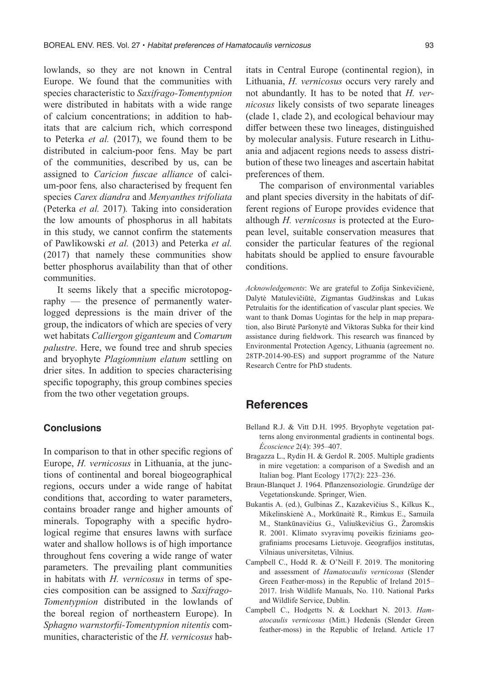lowlands, so they are not known in Central Europe. We found that the communities with species characteristic to *Saxifrago-Tomentypnion* were distributed in habitats with a wide range of calcium concentrations; in addition to habitats that are calcium rich, which correspond to Peterka *et al.* (2017), we found them to be distributed in calcium-poor fens. May be part of the communities, described by us, can be assigned to *Caricion fuscae alliance* of calcium-poor fens*,* also characterised by frequent fen species *Carex diandra* and *Menyanthes trifoliata*  (Peterka *et al.* 2017)*.* Taking into consideration the low amounts of phosphorus in all habitats in this study, we cannot confirm the statements of Pawlikowski *et al.* (2013) and Peterka *et al.* (2017) that namely these communities show better phosphorus availability than that of other communities.

It seems likely that a specific microtopography — the presence of permanently waterlogged depressions is the main driver of the group, the indicators of which are species of very wet habitats *Calliergon giganteum* and *Comarum palustre*. Here, we found tree and shrub species and bryophyte *Plagiomnium elatum* settling on drier sites. In addition to species characterising specific topography, this group combines species from the two other vegetation groups.

#### **Conclusions**

In comparison to that in other specific regions of Europe, *H. vernicosus* in Lithuania, at the junctions of continental and boreal biogeographical regions, occurs under a wide range of habitat conditions that, according to water parameters, contains broader range and higher amounts of minerals. Topography with a specific hydrological regime that ensures lawns with surface water and shallow hollows is of high importance throughout fens covering a wide range of water parameters. The prevailing plant communities in habitats with *H. vernicosus* in terms of species composition can be assigned to *Saxifrago-Tomentypnion* distributed in the lowlands of the boreal region of northeastern Europe). In *Sphagno warnstorfii-Tomentypnion nitentis* communities, characteristic of the *H. vernicosus* habitats in Central Europe (continental region), in Lithuania, *H. vernicosus* occurs very rarely and not abundantly. It has to be noted that *H. vernicosus* likely consists of two separate lineages (clade 1, clade 2), and ecological behaviour may differ between these two lineages, distinguished by molecular analysis. Future research in Lithuania and adjacent regions needs to assess distribution of these two lineages and ascertain habitat preferences of them.

The comparison of environmental variables and plant species diversity in the habitats of different regions of Europe provides evidence that although *H. vernicosus* is protected at the European level, suitable conservation measures that consider the particular features of the regional habitats should be applied to ensure favourable conditions.

*Acknowledgements*: We are grateful to Zofija Sinkevičienė, Dalytė Matulevičiūtė, Zigmantas Gudžinskas and Lukas Petrulaitis for the identification of vascular plant species. We want to thank Domas Uogintas for the help in map preparation, also Birutė Paršonytė and Viktoras Subka for their kind assistance during fieldwork. This research was financed by Environmental Protection Agency, Lithuania (agreement no. 28TP-2014-90-ES) and support programme of the Nature Research Centre for PhD students.

## **References**

- Belland R.J. & Vitt D.H. 1995. Bryophyte vegetation patterns along environmental gradients in continental bogs. *Écoscience* 2(4): 395–407.
- Bragazza L., Rydin H. & Gerdol R. 2005. Multiple gradients in mire vegetation: a comparison of a Swedish and an Italian bog. Plant Ecology 177(2): 223–236.
- Braun-Blanquet J. 1964. Pflanzensoziologie. Grundzüge der Vegetationskunde. Springer, Wien.
- Bukantis A. (ed.), Gulbinas Z., Kazakevičius S., Kilkus K., Mikelinskienė A., Morkūnaitė R., Rimkus E., Samuila M., Stankūnavičius G., Valiuškevičius G., Žaromskis R. 2001. Klimato svyravimų poveikis fiziniams geografiniams procesams Lietuvoje. Geografijos institutas, Vilniaus universitetas, Vilnius.
- Campbell C., Hodd R. & O'Neill F. 2019. The monitoring and assessment of *Hamatocaulis vernicosus* (Slender Green Feather-moss) in the Republic of Ireland 2015– 2017. Irish Wildlife Manuals, No. 110. National Parks and Wildlife Service, Dublin.
- Campbell C., Hodgetts N. & Lockhart N. 2013. *Hamatocaulis vernicosus* (Mitt.) Hedenäs (Slender Green feather-moss) in the Republic of Ireland. Article 17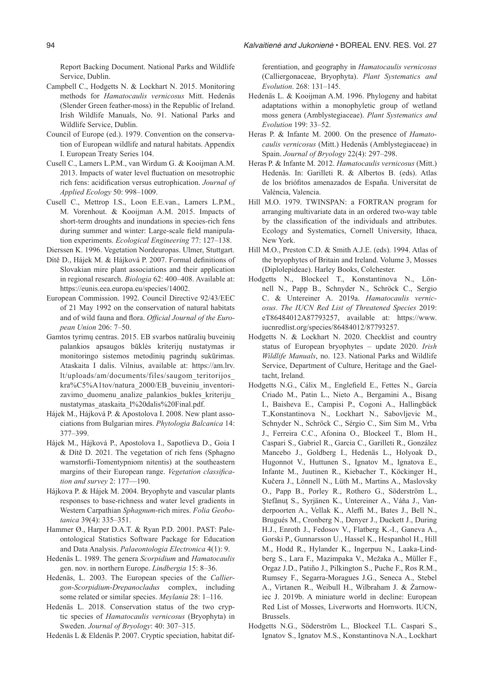Report Backing Document. National Parks and Wildlife Service, Dublin.

- Campbell C., Hodgetts N. & Lockhart N. 2015. Monitoring methods for *Hamatocaulis vernicosus* Mitt. Hedenäs (Slender Green feather-moss) in the Republic of Ireland. Irish Wildlife Manuals, No. 91. National Parks and Wildlife Service, Dublin.
- Council of Europe (ed.). 1979. Convention on the conservation of European wildlife and natural habitats. Appendix I. European Treaty Series 104.
- Cusell C., Lamers L.P.M., van Wirdum G. & Kooijman A.M. 2013. Impacts of water level fluctuation on mesotrophic rich fens: acidification versus eutrophication. *Journal of Applied Ecology* 50: 998–1009.
- Cusell C., Mettrop I.S., Loon E.E.van., Lamers L.P.M., M. Vorenhout. & Kooijman A.M. 2015. Impacts of short-term droughts and inundations in species-rich fens during summer and winter: Large-scale field manipulation experiments. *Ecological Engineering* 77: 127–138.

Dierssen K. 1996. Vegetation Nordeuropas. Ulmer, Stuttgart.

- Dítě D., Hájek M. & Hájková P. 2007. Formal definitions of Slovakian mire plant associations and their application in regional research. *Biologia* 62: 400–408. Available at: https://eunis.eea.europa.eu/species/14002.
- European Commission. 1992. Council Directive 92/43/EEC of 21 May 1992 on the conservation of natural habitats and of wild fauna and flora. *Official Journal of the European Union* 206: 7–50.
- Gamtos tyrimų centras. 2015. EB svarbos natūralių buveinių palankios apsaugos būklės kriterijų nustatymas ir monitoringo sistemos metodinių pagrindų sukūrimas. Ataskaita I dalis. Vilnius, available at: https://am.lrv. lt/uploads/am/documents/files/saugom\_teritorijos\_ kra%C5%A1tov/natura\_2000/EB\_buveiniu\_inventorizavimo\_duomenu\_analize\_palankios\_bukles\_kriteriju\_ nustatymas\_ataskaita\_I%20dalis%20Final.pdf.
- Hájek M., Hájková P. & Apostolova I. 2008. New plant associations from Bulgarian mires. *Phytologia Balcanica* 14: 377–399.
- Hájek M., Hájková P., Apostolova I., Sapotlieva D., Goia I & Dítě D. 2021. The vegetation of rich fens (Sphagno warnstorfii-Tomentypniom nitentis) at the southeastern margins of their European range. *Vegetation classification and survey* 2: 177—190.
- Hájkova P. & Hájek M. 2004. Bryophyte and vascular plants responses to base-richness and water level gradients in Western Carpathian *Sphagnum*-rich mires. *Folia Geobotanica* 39(4): 335–351.
- Hammer Ø., Harper D.A.T. & Ryan P.D. 2001. PAST: Paleontological Statistics Software Package for Education and Data Analysis. *Palaeontologia Electronica* 4(1): 9.
- Hedenäs L. 1989. The genera *Scorpidium* and *Hamatocaulis* gen. nov. in northern Europe. *Lindbergia* 15: 8–36.
- Hedenäs, L. 2003. The European species of the *Calliergon*-*Scorpidium*-*Drepanocladus* complex, including some related or similar species. *Meylania* 28: 1–116.
- Hedenäs L. 2018. Conservation status of the two cryptic species of *Hamatocaulis vernicosus* (Bryophyta) in Sweden. *Journal of Bryology*: 40: 307–315.

Hedenäs L & Eldenäs P. 2007. Cryptic speciation, habitat dif-

ferentiation, and geography in *Hamatocaulis vernicosus*  (Calliergonaceae, Bryophyta). *Plant Systematics and Evolution*. 268: 131–145.

- Hedenäs L. & Kooijman A.M. 1996. Phylogeny and habitat adaptations within a monophyletic group of wetland moss genera (Amblystegiaceae). *Plant Systematics and Evolution* 199: 33–52.
- Heras P. & Infante M. 2000. On the presence of *Hamatocaulis vernicosus* (Mitt.) Hedenäs (Amblystegiaceae) in Spain. *Journal of Bryology* 22(4): 297–298.
- Heras P. & Infante M. 2012. *Hamatocaulis vernicosus* (Mitt.) Hedenäs. In: Garilleti R. & Albertos B. (eds). Atlas de los briófitos amenazados de España. Universitat de València, Valencia.
- Hill M.O. 1979. TWINSPAN: a FORTRAN program for arranging multivariate data in an ordered two-way table by the classification of the individuals and attributes. Ecology and Systematics, Cornell University, Ithaca, New York.
- Hill M.O., Preston C.D. & Smith A.J.E. (eds). 1994. Atlas of the bryophytes of Britain and Ireland. Volume 3, Mosses (Diplolepideae). Harley Books, Colchester.
- Hodgetts N., Blockeel T., Konstantinova N., Lönnell N., Papp B., Schnyder N., Schröck C., Sergio C. & Untereiner A. 2019a. *Hamatocaulis vernicosus*. *The IUCN Red List of Threatened Species* 2019: eT86484012A87793257, available at: https://www. iucnredlist.org/species/86484012/87793257.
- Hodgetts N. & Lockhart N. 2020. Checklist and country status of European bryophytes – update 2020. *Irish Wildlife Manuals*, no. 123. National Parks and Wildlife Service, Department of Culture, Heritage and the Gaeltacht, Ireland.
- Hodgetts N.G., Cálix M., Englefield E., Fettes N., García Criado M., Patin L., Nieto A., Bergamini A., Bisang I., Baisheva E., Campisi P., Cogoni A., Hallingbäck T.,Konstantinova N., Lockhart N., Sabovljevic M., Schnyder N., Schröck C., Sérgio C., Sim Sim M., Vrba J., Ferreira C.C., Afonina O., Blockeel T., Blom H., Caspari S., Gabriel R., Garcia C., Garilleti R., González Mancebo J., Goldberg I., Hedenäs L., Holyoak D., Hugonnot V., Huttunen S., Ignatov M., Ignatova E., Infante M., Juutinen R., Kiebacher T., Köckinger H., Kučera J., Lönnell N., Lüth M., Martins A., Maslovsky O., Papp B., Porley R., Rothero G., Söderström L., Ştefǎnuţ S., Syrjänen K., Untereiner A., Váňa J., Vanderpoorten A., Vellak K., Aleffi M., Bates J., Bell N., Brugués M., Cronberg N., Denyer J., Duckett J., During H.J., Enroth J., Fedosov V., Flatberg K.-I., Ganeva A., Gorski P., Gunnarsson U., Hassel K., Hespanhol H., Hill M., Hodd R., Hylander K., Ingerpuu N., Laaka-Lindberg S., Lara F., Mazimpaka V., Mežaka A., Müller F., Orgaz J.D., Patiño J., Pilkington S., Puche F., Ros R.M., Rumsey F., Segarra-Moragues J.G., Seneca A., Stebel A., Virtanen R., Weibull H., Wilbraham J. & Żarnowiec J. 2019b. A miniature world in decline: European Red List of Mosses, Liverworts and Hornworts. IUCN, Brussels.
- Hodgetts N.G., Söderström L., Blockeel T.L. Caspari S., Ignatov S., Ignatov M.S., Konstantinova N.A., Lockhart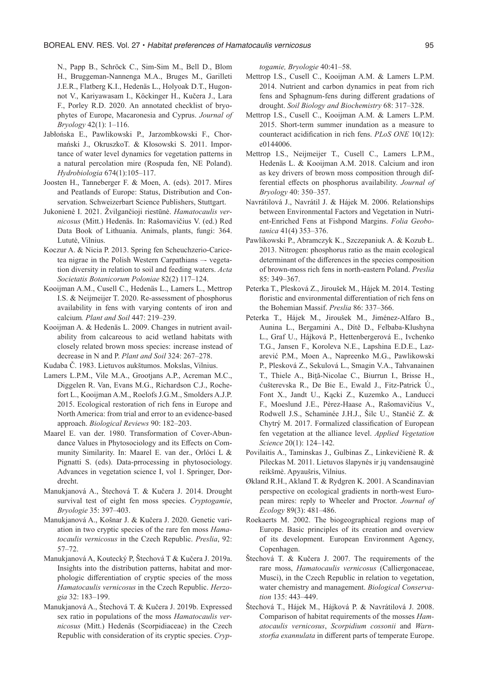N., Papp B., Schrӧck C., Sim-Sim M., Bell D., Blom H., Bruggeman-Nannenga M.A., Bruges M., Garilleti J.E.R., Flatberg K.I., Hedenäs L., Holyoak D.T., Hugonnot V., Kariyawasam I., Kӧckinger H., Kučera J., Lara F., Porley R.D. 2020. An annotated checklist of bryophytes of Europe, Macaronesia and Cyprus. *Journal of Bryology* 42(1): 1–116.

- Jabłońska E., Pawlikowski P., Jarzombkowski F., Chormański J., OkruszkoT. & Kłosowski S. 2011. Importance of water level dynamics for vegetation patterns in a natural percolation mire (Rospuda fen, NE Poland). *Hydrobiologia* 674(1):105–117.
- Joosten H., Tanneberger F. & Moen, A. (eds). 2017. Mires and Peatlands of Europe: Status, Distribution and Conservation. Schweizerbart Science Publishers, Stuttgart.
- Jukonienė I. 2021. Žvilgančioji riestūnė. *Hamatocaulis vernicosus* (Mitt.) Hedenäs. In: Rašomavičius V. (ed.) Red Data Book of Lithuania. Animals, plants, fungi: 364. Lututė, Vilnius.
- Koczur A. & Nicia P. 2013. Spring fen Scheuchzerio-Caricetea nigrae in the Polish Western Carpathians –- vegetation diversity in relation to soil and feeding waters. *Acta Societatis Botanicorum Poloniae* 82(2) 117–124.
- Kooijman A.M., Cusell C., Hedenӓs L., Lamers L., Mettrop I.S. & Neijmeijer T. 2020. Re-assessment of phosphorus availability in fens with varying contents of iron and calcium*. Plant and Soil* 447: 219–239.
- Kooijman A. & Hedenäs L. 2009. Changes in nutrient availability from calcareous to acid wetland habitats with closely related brown moss species: increase instead of decrease in N and P. *Plant and Soil* 324: 267–278.

Kudaba Č. 1983. Lietuvos aukštumos. Mokslas, Vilnius.

- Lamers L.P.M., Vile M.A., Grootjans A.P., Acreman M.C., Diggelen R. Van, Evans M.G., Richardson C.J., Rochefort L., Kooijman A.M., Roelofs J.G.M., Smolders A.J.P. 2015. Ecological restoration of rich fens in Europe and North America: from trial and error to an evidence-based approach. *Biological Reviews* 90: 182–203.
- Maarel E. van der. 1980. Transformation of Cover-Abundance Values in Phytosociology and its Effects on Community Similarity. In: Maarel E. van der., Orlóci L & Pignatti S. (eds). Data-prrocessing in phytosociology. Advances in vegetation science I, vol 1. Springer, Dordrecht.
- Manukjanová A., Štechová T. & Kučera J. 2014. Drought survival test of eight fen moss species. *Cryptogamie*, *Bryologie* 35: 397–403.
- Manukjanová A., Košnar J. & Kučera J. 2020. Genetic variation in two cryptic species of the rare fen moss *Hamatocaulis vernicosus* in the Czech Republic. *Preslia*, 92: 57–72.
- Manukjanová A, Koutecký P, Štechová T & Kučera J. 2019a. Insights into the distribution patterns, habitat and morphologic differentiation of cryptic species of the moss *Hamatocaulis vernicosus* in the Czech Republic. *Herzogia* 32: 183–199.
- Manukjanová A., Štechová T. & Kučera J. 2019b. Expressed sex ratio in populations of the moss *Hamatocaulis vernicosus* (Mitt.) Hedenäs (Scorpidiaceae) in the Czech Republic with consideration of its cryptic species. *Cryp-*

*togamie, Bryologie* 40:41–58.

- Mettrop I.S., Cusell C., Kooijman A.M. & Lamers L.P.M. 2014. Nutrient and carbon dynamics in peat from rich fens and Sphagnum-fens during different gradations of drought. *Soil Biology and Biochemistry* 68: 317–328.
- Mettrop I.S., Cusell C., Kooijman A.M. & Lamers L.P.M. 2015. Short-term summer inundation as a measure to counteract acidification in rich fens. *PLoS ONE* 10(12): e0144006.
- Mettrop I.S., Neijmeijer T., Cusell C., Lamers L.P.M., Hedenäs L. & Kooijman A.M. 2018. Calcium and iron as key drivers of brown moss composition through differential effects on phosphorus availability. *Journal of Bryology* 40: 350–357.
- Navrátilová J., Navrátil J. & Hájek M. 2006. Relationships between Environmental Factors and Vegetation in Nutrient-Enriched Fens at Fishpond Margins. *Folia Geobotanica* 41(4) 353–376.
- Pawlikowski P., Abramczyk K., Szczepaniuk A. & Kozub Ł. 2013. Nitrogen: phosphorus ratio as the main ecological determinant of the differences in the species composition of brown-moss rich fens in north-eastern Poland. *Preslia* 85: 349–367.
- Peterka T., Plesková Z., Jiroušek M., Hájek M. 2014. Testing floristic and environmental differentiation of rich fens on the Bohemian Massif. *Preslia* 86: 337–366.
- Peterka T., Hájek M., Jiroušek M., Jiménez-Alfaro B., Aunina L., Bergamini A., Dítě D., Felbaba-Klushyna L., Graf U., Hájková P., Hettenbergerová E., Ivchenko T.G., Jansen F., Koroleva N.E., Lapshina E.D.E., Lazarević P.M., Moen A., Napreenko M.G., Pawlikowski P., Plesková Z., Sekulová L., Smagin V.A., Tahvanainen T., Thiele A., Biţă-Nicolae C., Biurrun I., Brisse H., ćušterevska R., De Bie E., Ewald J., Fitz-Patrick Ú., Font X., Jandt U., Kącki Z., Kuzemko A., Landucci F., Moeslund J.E., Pèrez-Haase A., Rašomavičius V., Rodwell J.S., Schaminée J.H.J., Šilc U., Stančić Z. & Chytrý M. 2017. Formalized classification of European fen vegetation at the alliance level. *Applied Vegetation Science* 20(1): 124–142.
- Povilaitis A., Taminskas J., Gulbinas Z., Linkevičienė R. & Pileckas M. 2011. Lietuvos šlapynės ir jų vandensauginė reikšmė. Apyaušris, Vilnius.
- Økland R.H., Akland T. & Rydgren K. 2001. A Scandinavian perspective on ecological gradients in north-west European mires: reply to Wheeler and Proctor. *Journal of Ecology* 89(3): 481–486.
- Roekaerts M. 2002. The biogeographical regions map of Europe. Basic principles of its creation and overview of its development. European Environment Agency, Copenhagen.
- Štechová T. & Kučera J. 2007. The requirements of the rare moss, *Hamatocaulis vernicosus* (Calliergonaceae, Musci), in the Czech Republic in relation to vegetation, water chemistry and management. *Biological Conservation* 135: 443–449.
- Štechová T., Hájek M., Hájková P. & Navrátilová J. 2008. Comparison of habitat requirements of the mosses *Hamatocaulis vernicosus*, *Scorpidium cossonii* and *Warnstorfia exannulata* in different parts of temperate Europe.